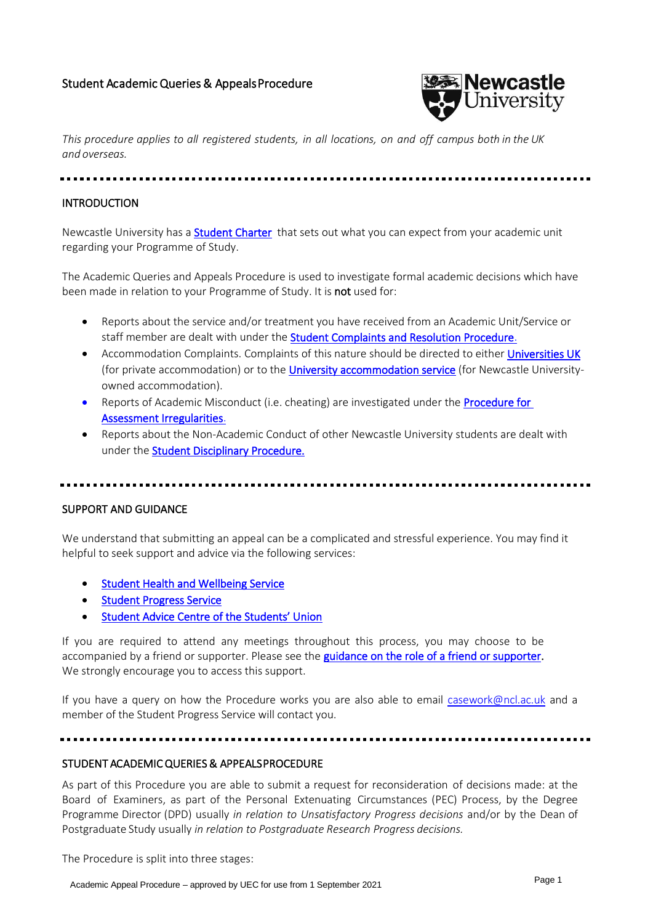

*This procedure applies to all registered students, in all locations, on and off campus both in the UK and overseas.*

## INTRODUCTION

Newcastle University has a **Student Charter** that sets out what you can expect from your academic unit regarding your Programme of Study.

The Academic Queries and Appeals Procedure is used to investigate formal academic decisions which have been made in relation to your Programme of Study. It is **not** used for:

- Reports about the service and/or treatment you have received from an Academic Unit/Service or staff member are dealt with under the **Student Complaints and Resolution Procedure**.
- Accommodation Complaints. Complaints of this nature should be directed to eithe[r Universities UK](https://www.universitiesuk.ac.uk/) (for private accommodation) or to the [University accommodation service](https://www.ncl.ac.uk/accommodation/current-students/feedback/) (for Newcastle Universityowned accommodation).
- Reports of Academic Misconduct (i.e. cheating) are investigated under the Procedure for [Assessment Irregularities.](https://www.ncl.ac.uk/student-progress/policies/procedures/assessment%20irregularities/)
- Reports about the Non-Academic Conduct of other Newcastle University students are dealt with under the **Student Disciplinary Procedure.**

# SUPPORT AND GUIDANCE

We understand that submitting an appeal can be a complicated and stressful experience. You may find it helpful to seek support and advice via the following services:

- [Student Health and Wellbeing Service](https://www.ncl.ac.uk/wellbeing/)
- [Student Progress Service](https://www.ncl.ac.uk/student-progress/)
- [Student Advice Centre of the Students' Union](https://www.nusu.co.uk/support/sac/)

If you are required to attend any meetings throughout this process, you may choose to be accompanied by a friend or supporter. Please see the **guidance on the role of a friend or supporter.** We strongly encourage you to access this support.

If you have a query on how the Procedure works you are also able to email [casework@ncl.ac.uk](mailto:casework@ncl.ac.uk) and a member of the Student Progress Service will contact you.

#### STUDENT ACADEMIC QUERIES & APPEALS PROCEDURE

As part of this Procedure you are able to submit a request for reconsideration of decisions made: at the Board of Examiners, as part of the Personal Extenuating Circumstances (PEC) Process, by the Degree Programme Director (DPD) usually *in relation to Unsatisfactory Progress decisions* and/or by the Dean of Postgraduate Study usually *in relation to Postgraduate Research Progress decisions.* 

The Procedure is split into three stages: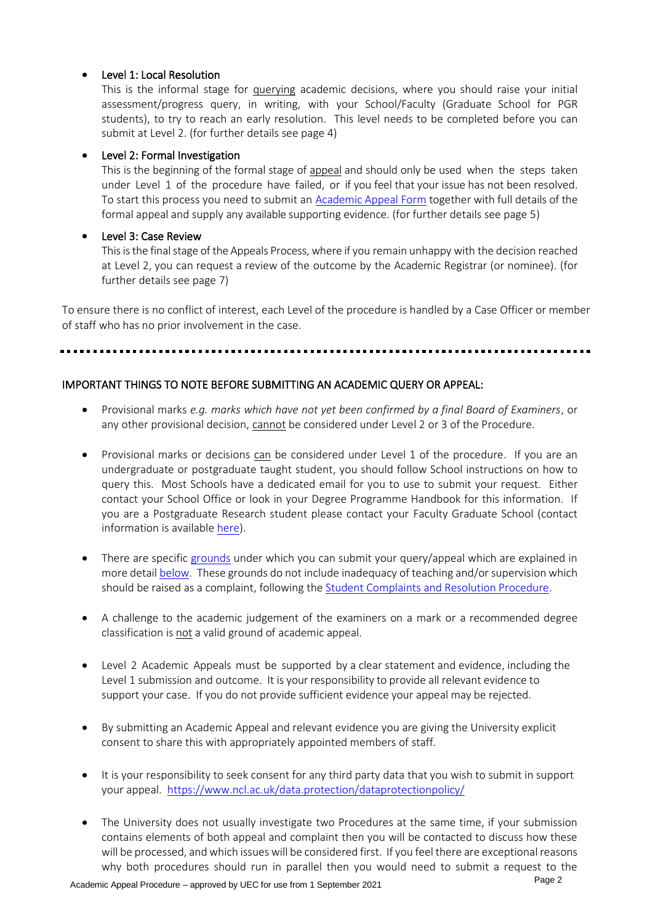# • Level 1: Local Resolution

This is the informal stage for querying academic decisions, where you should raise your initial assessment/progress query, in writing, with your School/Faculty (Graduate School for PGR students), to try to reach an early resolution. This level needs to be completed before you can submit at Level 2. (for further details see page 4)

# • Level 2: Formal Investigation

This is the beginning of the formal stage of appeal and should only be used when the steps taken under Level 1 of the procedure have failed, or if you feel that your issue has not been resolved. To start this process you need to submit an [Academic](https://www.ncl.ac.uk/media/wwwnclacuk/studentprogress/files/Academic%20Queries%20and%20Appeals%20Form%2021_22.pdf) Appeal Form together with full details of the formal appeal and supply any available supporting evidence. (for further details see page 5)

# • Level 3: Case Review

This is the final stage of the Appeals Process, where if you remain unhappy with the decision reached at Level 2, you can request a review of the outcome by the Academic Registrar (or nominee). (for further details see page 7)

To ensure there is no conflict of interest, each Level of the procedure is handled by a Case Officer or member of staff who has no prior involvement in the case.

# IMPORTANT THINGS TO NOTE BEFORE SUBMITTING AN ACADEMIC QUERY OR APPEAL:

- Provisional marks *e.g. marks which have not yet been confirmed by a final Board of Examiners*, or any other provisional decision, cannot be considered under Level 2 or 3 of the Procedure.
- Provisional marks or decisions can be considered under Level 1 of the procedure. If you are an undergraduate or postgraduate taught student, you should follow School instructions on how to query this. Most Schools have a dedicated email for you to use to submit your request. Either contact your School Office or look in your Degree Programme Handbook for this information. If you are a Postgraduate Research student please contact your Faculty Graduate School (contact information is available [here\)](https://www.ncl.ac.uk/student-progress/pgr/).
- There are specific [grounds](#page-2-0) under which you can submit your query/appeal which are explained in more detai[l below.](#page-2-0) These grounds do not include inadequacy of teaching and/or supervision which should be raised as a complaint, following the [Student Complaints and Resolution Procedure.](https://www.ncl.ac.uk/student-progress/policies/procedures/complaints%20and%20resolution/)
- A challenge to the academic judgement of the examiners on a mark or a recommended degree classification is not a valid ground of academic appeal.
- Level 2 Academic Appeals must be supported by a clear statement and evidence, including the Level 1 submission and outcome. It is your responsibility to provide all relevant evidence to support your case. If you do not provide sufficient evidence your appeal may be rejected.
- By submitting an Academic Appeal and relevant evidence you are giving the University explicit consent to share this with appropriately appointed members of staff.
- It is your responsibility to seek consent for any third party data that you wish to submit in support your appeal.<https://www.ncl.ac.uk/data.protection/dataprotectionpolicy/>
- The University does not usually investigate two Procedures at the same time, if your submission contains elements of both appeal and complaint then you will be contacted to discuss how these will be processed, and which issues will be considered first. If you feel there are exceptional reasons why both procedures should run in parallel then you would need to submit a request to the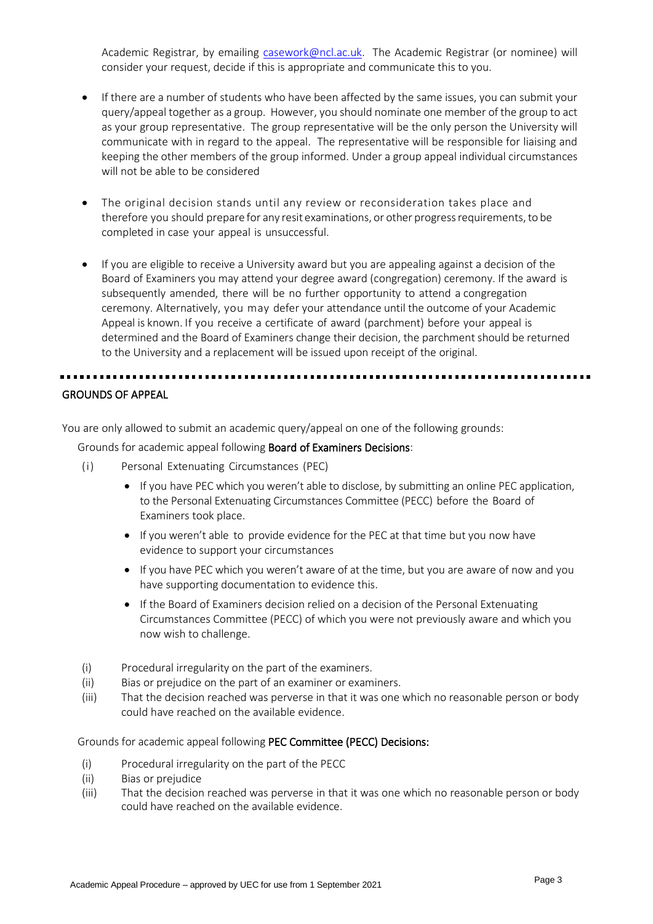Academic Registrar, by emailing [casework@ncl.ac.uk.](mailto:casework@ncl.ac.uk) The Academic Registrar (or nominee) will consider your request, decide if this is appropriate and communicate this to you.

- If there are a number of students who have been affected by the same issues, you can submit your query/appeal together as a group. However, you should nominate one member of the group to act as your group representative. The group representative will be the only person the University will communicate with in regard to the appeal. The representative will be responsible for liaising and keeping the other members of the group informed. Under a group appeal individual circumstances will not be able to be considered
- The original decision stands until any review or reconsideration takes place and therefore you should prepare for any resit examinations, or other progress requirements, to be completed in case your appeal is unsuccessful.
- If you are eligible to receive a University award but you are appealing against a decision of the Board of Examiners you may attend your degree award (congregation) ceremony. If the award is subsequently amended, there will be no further opportunity to attend a congregation ceremony. Alternatively, you may defer your attendance until the outcome of your Academic Appeal is known. If you receive a certificate of award (parchment) before your appeal is determined and the Board of Examiners change their decision, the parchment should be returned to the University and a replacement will be issued upon receipt of the original.

#### <span id="page-2-0"></span>GROUNDS OF APPEAL

You are only allowed to submit an academic query/appeal on one of the following grounds:

Grounds for academic appeal following Board of Examiners Decisions:

- (i) Personal Extenuating Circumstances (PEC)
	- If you have PEC which you weren't able to disclose, by submitting an online PEC application, to the Personal Extenuating Circumstances Committee (PECC) before the Board of Examiners took place.
	- If you weren't able to provide evidence for the PEC at that time but you now have evidence to support your circumstances
	- If you have PEC which you weren't aware of at the time, but you are aware of now and you have supporting documentation to evidence this.
	- If the Board of Examiners decision relied on a decision of the Personal Extenuating Circumstances Committee (PECC) of which you were not previously aware and which you now wish to challenge.
- (i) Procedural irregularity on the part of the examiners.
- (ii) Bias or prejudice on the part of an examiner or examiners.
- (iii) That the decision reached was perverse in that it was one which no reasonable person or body could have reached on the available evidence.

Grounds for academic appeal following PEC Committee (PECC) Decisions:

- (i) Procedural irregularity on the part of the PECC
- (ii) Bias or prejudice
- (iii) That the decision reached was perverse in that it was one which no reasonable person or body could have reached on the available evidence.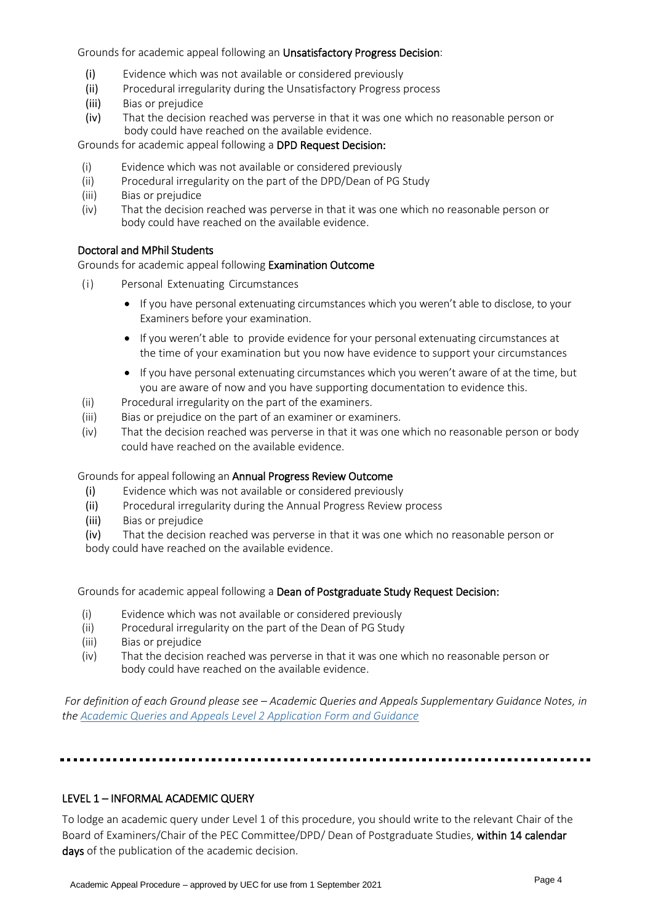Grounds for academic appeal following an Unsatisfactory Progress Decision:

- (i) Evidence which was not available or considered previously
- (ii) Procedural irregularity during the Unsatisfactory Progress process<br>(iii) Bias or prejudice
- Bias or prejudice
- (iv) That the decision reached was perverse in that it was one which no reasonable person or body could have reached on the available evidence.

Grounds for academic appeal following a DPD Request Decision:

- (i) Evidence which was not available or considered previously
- (ii) Procedural irregularity on the part of the DPD/Dean of PG Study
- (iii) Bias or prejudice
- (iv) That the decision reached was perverse in that it was one which no reasonable person or body could have reached on the available evidence.

#### Doctoral and MPhil Students

Grounds for academic appeal following Examination Outcome

- (i) Personal Extenuating Circumstances
	- If you have personal extenuating circumstances which you weren't able to disclose, to your Examiners before your examination.
	- If you weren't able to provide evidence for your personal extenuating circumstances at the time of your examination but you now have evidence to support your circumstances
	- If you have personal extenuating circumstances which you weren't aware of at the time, but you are aware of now and you have supporting documentation to evidence this.
- (ii) Procedural irregularity on the part of the examiners.
- (iii) Bias or prejudice on the part of an examiner or examiners.
- (iv) That the decision reached was perverse in that it was one which no reasonable person or body could have reached on the available evidence.

#### Grounds for appeal following an Annual Progress Review Outcome

- (i) Evidence which was not available or considered previously
- (ii) Procedural irregularity during the Annual Progress Review process
- (iii) Bias or prejudice
- (iv) That the decision reached was perverse in that it was one which no reasonable person or

body could have reached on the available evidence.

Grounds for academic appeal following a Dean of Postgraduate Study Request Decision:

- (i) Evidence which was not available or considered previously
- (ii) Procedural irregularity on the part of the Dean of PG Study
- (iii) Bias or prejudice
- (iv) That the decision reached was perverse in that it was one which no reasonable person or body could have reached on the available evidence.

*For definition of each Ground please see – Academic Queries and Appeals Supplementary Guidance Notes, in th[e Academic Queries and Appeals Level 2 Application Form and Guidance](https://www.ncl.ac.uk/media/wwwnclacuk/studentprogress/files/Academic%20Queries%20and%20Appeals%20Form%2021_22.pdf)*

#### LEVEL 1 – INFORMAL ACADEMIC QUERY

To lodge an academic query under Level 1 of this procedure, you should write to the relevant Chair of the Board of Examiners/Chair of the PEC Committee/DPD/ Dean of Postgraduate Studies, within 14 calendar days of the publication of the academic decision.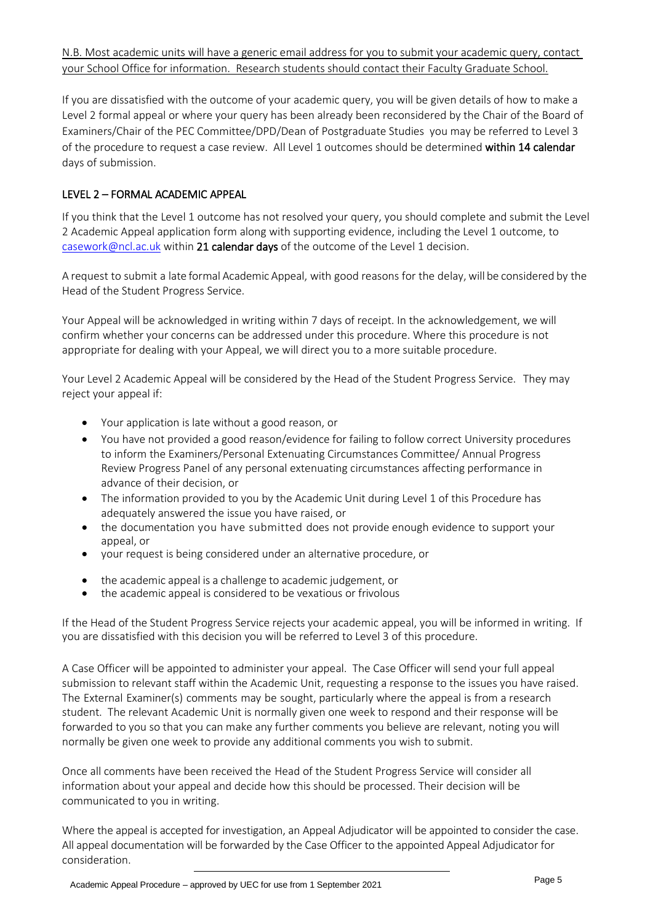If you are dissatisfied with the outcome of your academic query, you will be given details of how to make a Level 2 formal appeal or where your query has been already been reconsidered by the Chair of the Board of Examiners/Chair of the PEC Committee/DPD/Dean of Postgraduate Studies you may be referred to Level 3 of the procedure to request a case review. All Level 1 outcomes should be determined within 14 calendar days of submission.

# LEVEL 2 – FORMAL ACADEMIC APPEAL

If you think that the Level 1 outcome has not resolved your query, you should complete and submit the Level 2 Academic Appeal application form along with supporting evidence, including the Level 1 outcome, to [casework@ncl.ac.uk](mailto:casework@ncl.ac.uk) within 21 calendar days of the outcome of the Level 1 decision.

A request to submit a late formal Academic Appeal, with good reasons for the delay, will be considered by the Head of the Student Progress Service.

Your Appeal will be acknowledged in writing within 7 days of receipt. In the acknowledgement, we will confirm whether your concerns can be addressed under this procedure. Where this procedure is not appropriate for dealing with your Appeal, we will direct you to a more suitable procedure.

Your Level 2 Academic Appeal will be considered by the Head of the Student Progress Service. They may reject your appeal if:

- Your application is late without a good reason, or
- You have not provided a good reason/evidence for failing to follow correct University procedures to inform the Examiners/Personal Extenuating Circumstances Committee/ Annual Progress Review Progress Panel of any personal extenuating circumstances affecting performance in advance of their decision, or
- The information provided to you by the Academic Unit during Level 1 of this Procedure has adequately answered the issue you have raised, or
- the documentation you have submitted does not provide enough evidence to support your appeal, or
- your request is being considered under an alternative procedure, or
- the academic appeal is a challenge to academic judgement, or
- the academic appeal is considered to be vexatious or frivolous

If the Head of the Student Progress Service rejects your academic appeal, you will be informed in writing. If you are dissatisfied with this decision you will be referred to Level 3 of this procedure.

A Case Officer will be appointed to administer your appeal. The Case Officer will send your full appeal submission to relevant staff within the Academic Unit, requesting a response to the issues you have raised. The External Examiner(s) comments may be sought, particularly where the appeal is from a research student. The relevant Academic Unit is normally given one week to respond and their response will be forwarded to you so that you can make any further comments you believe are relevant, noting you will normally be given one week to provide any additional comments you wish to submit.

Once all comments have been received the Head of the Student Progress Service will consider all information about your appeal and decide how this should be processed. Their decision will be communicated to you in writing.

Where the appeal is accepted for investigation, an Appeal Adjudicator will be appointed to consider the case. All appeal documentation will be forwarded by the Case Officer to the appointed Appeal Adjudicator for consideration.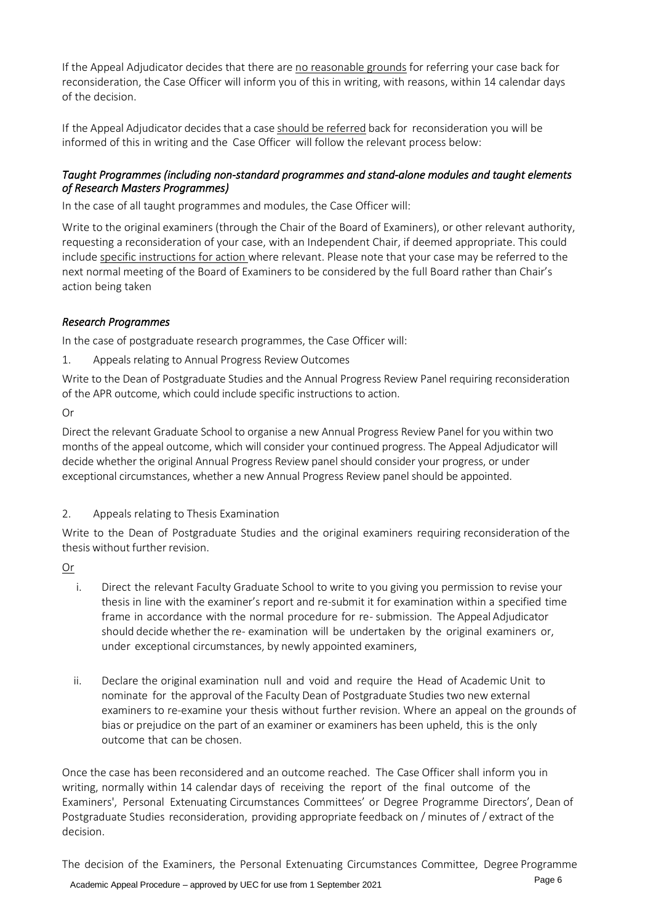If the Appeal Adjudicator decides that there are no reasonable grounds for referring your case back for reconsideration, the Case Officer will inform you of this in writing, with reasons, within 14 calendar days of the decision.

If the Appeal Adjudicator decides that a case should be referred back for reconsideration you will be informed of this in writing and the Case Officer will follow the relevant process below:

# *Taught Programmes (including non-standard programmes and stand-alone modules and taught elements of Research Masters Programmes)*

In the case of all taught programmes and modules, the Case Officer will:

Write to the original examiners (through the Chair of the Board of Examiners), or other relevant authority, requesting a reconsideration of your case, with an Independent Chair, if deemed appropriate. This could include specific instructions for action where relevant. Please note that your case may be referred to the next normal meeting of the Board of Examiners to be considered by the full Board rather than Chair's action being taken

# *Research Programmes*

In the case of postgraduate research programmes, the Case Officer will:

1. Appeals relating to Annual Progress Review Outcomes

Write to the Dean of Postgraduate Studies and the Annual Progress Review Panel requiring reconsideration of the APR outcome, which could include specific instructions to action.

Or

Direct the relevant Graduate School to organise a new Annual Progress Review Panel for you within two months of the appeal outcome, which will consider your continued progress. The Appeal Adjudicator will decide whether the original Annual Progress Review panel should consider your progress, or under exceptional circumstances, whether a new Annual Progress Review panel should be appointed.

# 2. Appeals relating to Thesis Examination

Write to the Dean of Postgraduate Studies and the original examiners requiring reconsideration of the thesis without further revision.

Or

- i. Direct the relevant Faculty Graduate School to write to you giving you permission to revise your thesis in line with the examiner's report and re-submit it for examination within a specified time frame in accordance with the normal procedure for re- submission. The Appeal Adjudicator should decide whether the re- examination will be undertaken by the original examiners or, under exceptional circumstances, by newly appointed examiners,
- ii. Declare the original examination null and void and require the Head of Academic Unit to nominate for the approval of the Faculty Dean of Postgraduate Studies two new external examiners to re-examine your thesis without further revision. Where an appeal on the grounds of bias or prejudice on the part of an examiner or examiners has been upheld, this is the only outcome that can be chosen.

Once the case has been reconsidered and an outcome reached. The Case Officer shall inform you in writing, normally within 14 calendar days of receiving the report of the final outcome of the Examiners', Personal Extenuating Circumstances Committees' or Degree Programme Directors', Dean of Postgraduate Studies reconsideration, providing appropriate feedback on / minutes of / extract of the decision.

Academic Appeal Procedure – approved by UEC for use from 1 September 2021 The decision of the Examiners, the Personal Extenuating Circumstances Committee, Degree Programme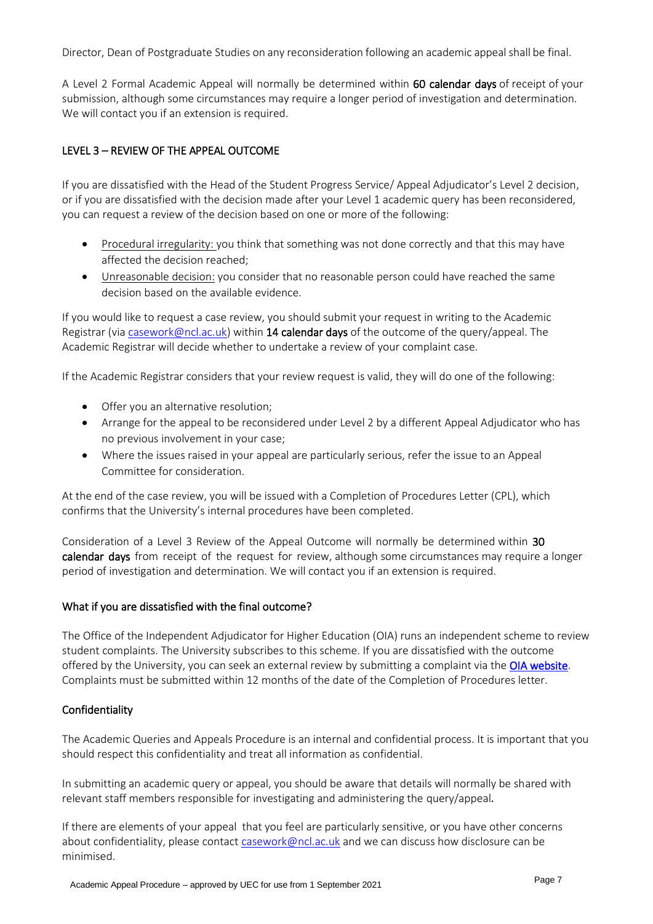Director, Dean of Postgraduate Studies on any reconsideration following an academic appeal shall be final.

A Level 2 Formal Academic Appeal will normally be determined within 60 calendar days of receipt of your submission, although some circumstances may require a longer period of investigation and determination. We will contact you if an extension is required.

# LEVEL 3 – REVIEW OF THE APPEAL OUTCOME

If you are dissatisfied with the Head of the Student Progress Service/ Appeal Adjudicator's Level 2 decision, or if you are dissatisfied with the decision made after your Level 1 academic query has been reconsidered, you can request a review of the decision based on one or more of the following:

- Procedural irregularity: you think that something was not done correctly and that this may have affected the decision reached;
- Unreasonable decision: you consider that no reasonable person could have reached the same decision based on the available evidence.

If you would like to request a case review, you should submit your request in writing to the Academic Registrar (via [casework@ncl.ac.uk\)](mailto:casework@ncl.ac.uk) within 14 calendar days of the outcome of the query/appeal. The Academic Registrar will decide whether to undertake a review of your complaint case.

If the Academic Registrar considers that your review request is valid, they will do one of the following:

- Offer you an alternative resolution;
- Arrange for the appeal to be reconsidered under Level 2 by a different Appeal Adjudicator who has no previous involvement in your case;
- Where the issues raised in your appeal are particularly serious, refer the issue to an Appeal Committee for consideration.

At the end of the case review, you will be issued with a Completion of Procedures Letter (CPL), which confirms that the University's internal procedures have been completed.

Consideration of a Level 3 Review of the Appeal Outcome will normally be determined within 30 calendar days from receipt of the request for review, although some circumstances may require a longer period of investigation and determination. We will contact you if an extension is required.

#### What if you are dissatisfied with the final outcome?

The Office of the Independent Adjudicator for Higher Education (OIA) runs an independent scheme to review student complaints. The University subscribes to this scheme. If you are dissatisfied with the outcome offered by the University, you can seek an external review by submitting a complaint via th[e OIA website.](https://www.oiahe.org.uk/students/) Complaints must be submitted within 12 months of the date of the Completion of Procedures letter.

#### Confidentiality

The Academic Queries and Appeals Procedure is an internal and confidential process. It is important that you should respect this confidentiality and treat all information as confidential.

In submitting an academic query or appeal, you should be aware that details will normally be shared with relevant staff members responsible for investigating and administering the query/appeal.

If there are elements of your appeal that you feel are particularly sensitive, or you have other concerns about confidentiality, please contact [casework@ncl.ac.uk](mailto:casework@ncl.ac.uk) and we can discuss how disclosure can be minimised.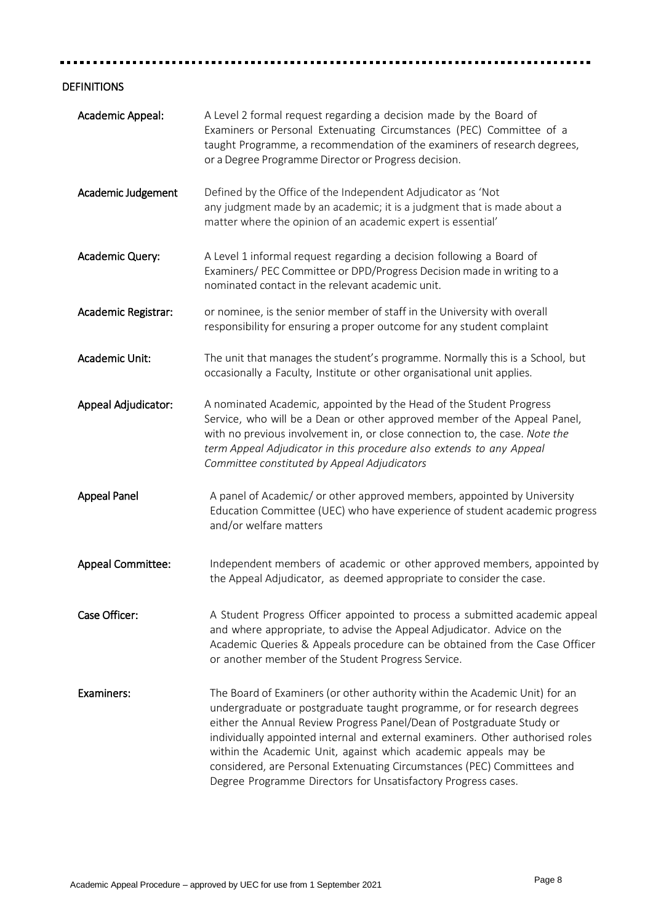#### ........ ............ Ė

# DEFINITIONS

| Academic Appeal:         | A Level 2 formal request regarding a decision made by the Board of<br>Examiners or Personal Extenuating Circumstances (PEC) Committee of a<br>taught Programme, a recommendation of the examiners of research degrees,<br>or a Degree Programme Director or Progress decision.                                                                                                                                                                                                                                                   |
|--------------------------|----------------------------------------------------------------------------------------------------------------------------------------------------------------------------------------------------------------------------------------------------------------------------------------------------------------------------------------------------------------------------------------------------------------------------------------------------------------------------------------------------------------------------------|
| Academic Judgement       | Defined by the Office of the Independent Adjudicator as 'Not<br>any judgment made by an academic; it is a judgment that is made about a<br>matter where the opinion of an academic expert is essential'                                                                                                                                                                                                                                                                                                                          |
| Academic Query:          | A Level 1 informal request regarding a decision following a Board of<br>Examiners/ PEC Committee or DPD/Progress Decision made in writing to a<br>nominated contact in the relevant academic unit.                                                                                                                                                                                                                                                                                                                               |
| Academic Registrar:      | or nominee, is the senior member of staff in the University with overall<br>responsibility for ensuring a proper outcome for any student complaint                                                                                                                                                                                                                                                                                                                                                                               |
| Academic Unit:           | The unit that manages the student's programme. Normally this is a School, but<br>occasionally a Faculty, Institute or other organisational unit applies.                                                                                                                                                                                                                                                                                                                                                                         |
| Appeal Adjudicator:      | A nominated Academic, appointed by the Head of the Student Progress<br>Service, who will be a Dean or other approved member of the Appeal Panel,<br>with no previous involvement in, or close connection to, the case. Note the<br>term Appeal Adjudicator in this procedure also extends to any Appeal<br>Committee constituted by Appeal Adjudicators                                                                                                                                                                          |
| <b>Appeal Panel</b>      | A panel of Academic/ or other approved members, appointed by University<br>Education Committee (UEC) who have experience of student academic progress<br>and/or welfare matters                                                                                                                                                                                                                                                                                                                                                  |
| <b>Appeal Committee:</b> | Independent members of academic or other approved members, appointed by<br>the Appeal Adjudicator, as deemed appropriate to consider the case.                                                                                                                                                                                                                                                                                                                                                                                   |
| Case Officer:            | A Student Progress Officer appointed to process a submitted academic appeal<br>and where appropriate, to advise the Appeal Adjudicator. Advice on the<br>Academic Queries & Appeals procedure can be obtained from the Case Officer<br>or another member of the Student Progress Service.                                                                                                                                                                                                                                        |
| Examiners:               | The Board of Examiners (or other authority within the Academic Unit) for an<br>undergraduate or postgraduate taught programme, or for research degrees<br>either the Annual Review Progress Panel/Dean of Postgraduate Study or<br>individually appointed internal and external examiners. Other authorised roles<br>within the Academic Unit, against which academic appeals may be<br>considered, are Personal Extenuating Circumstances (PEC) Committees and<br>Degree Programme Directors for Unsatisfactory Progress cases. |